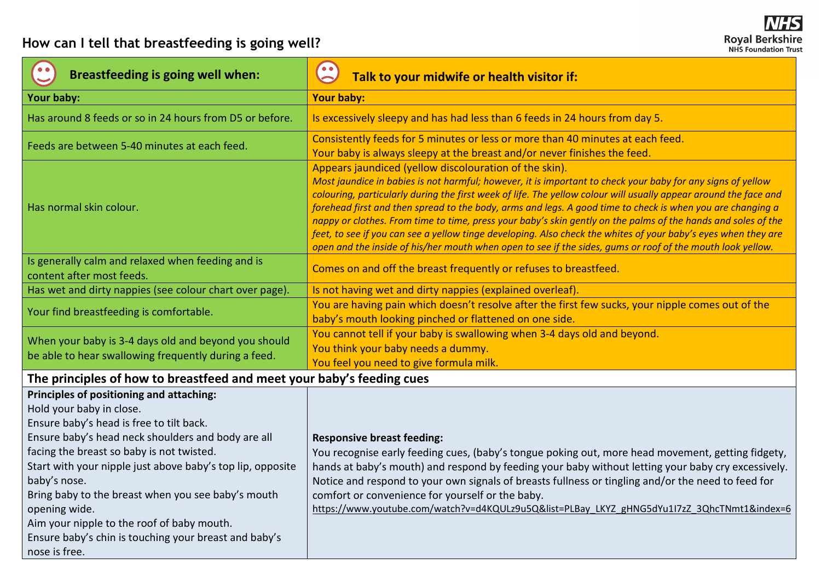| <b>Breastfeeding is going well when:</b>                                                                                                                                                                                                                                                                                                                                                                                                                                                         | $\bullet$<br>Talk to your midwife or health visitor if:                                                                                                                                                                                                                                                                                                                                                                                                                                                                                                                                                                                                                                                                                                  |  |  |  |
|--------------------------------------------------------------------------------------------------------------------------------------------------------------------------------------------------------------------------------------------------------------------------------------------------------------------------------------------------------------------------------------------------------------------------------------------------------------------------------------------------|----------------------------------------------------------------------------------------------------------------------------------------------------------------------------------------------------------------------------------------------------------------------------------------------------------------------------------------------------------------------------------------------------------------------------------------------------------------------------------------------------------------------------------------------------------------------------------------------------------------------------------------------------------------------------------------------------------------------------------------------------------|--|--|--|
| Your baby:                                                                                                                                                                                                                                                                                                                                                                                                                                                                                       | <b>Your baby:</b>                                                                                                                                                                                                                                                                                                                                                                                                                                                                                                                                                                                                                                                                                                                                        |  |  |  |
| Has around 8 feeds or so in 24 hours from D5 or before.                                                                                                                                                                                                                                                                                                                                                                                                                                          | Is excessively sleepy and has had less than 6 feeds in 24 hours from day 5.                                                                                                                                                                                                                                                                                                                                                                                                                                                                                                                                                                                                                                                                              |  |  |  |
| Feeds are between 5-40 minutes at each feed.                                                                                                                                                                                                                                                                                                                                                                                                                                                     | Consistently feeds for 5 minutes or less or more than 40 minutes at each feed.<br>Your baby is always sleepy at the breast and/or never finishes the feed.                                                                                                                                                                                                                                                                                                                                                                                                                                                                                                                                                                                               |  |  |  |
| Has normal skin colour.                                                                                                                                                                                                                                                                                                                                                                                                                                                                          | Appears jaundiced (yellow discolouration of the skin).<br>Most jaundice in babies is not harmful; however, it is important to check your baby for any signs of yellow<br>colouring, particularly during the first week of life. The yellow colour will usually appear around the face and<br>forehead first and then spread to the body, arms and legs. A good time to check is when you are changing a<br>nappy or clothes. From time to time, press your baby's skin gently on the palms of the hands and soles of the<br>feet, to see if you can see a yellow tinge developing. Also check the whites of your baby's eyes when they are<br>open and the inside of his/her mouth when open to see if the sides, gums or roof of the mouth look yellow. |  |  |  |
| Is generally calm and relaxed when feeding and is<br>content after most feeds.                                                                                                                                                                                                                                                                                                                                                                                                                   | Comes on and off the breast frequently or refuses to breastfeed.                                                                                                                                                                                                                                                                                                                                                                                                                                                                                                                                                                                                                                                                                         |  |  |  |
| Has wet and dirty nappies (see colour chart over page).                                                                                                                                                                                                                                                                                                                                                                                                                                          | Is not having wet and dirty nappies (explained overleaf).                                                                                                                                                                                                                                                                                                                                                                                                                                                                                                                                                                                                                                                                                                |  |  |  |
| Your find breastfeeding is comfortable.                                                                                                                                                                                                                                                                                                                                                                                                                                                          | You are having pain which doesn't resolve after the first few sucks, your nipple comes out of the<br>baby's mouth looking pinched or flattened on one side.                                                                                                                                                                                                                                                                                                                                                                                                                                                                                                                                                                                              |  |  |  |
| When your baby is 3-4 days old and beyond you should<br>be able to hear swallowing frequently during a feed.                                                                                                                                                                                                                                                                                                                                                                                     | You cannot tell if your baby is swallowing when 3-4 days old and beyond.<br>You think your baby needs a dummy.<br>You feel you need to give formula milk.                                                                                                                                                                                                                                                                                                                                                                                                                                                                                                                                                                                                |  |  |  |
| The principles of how to breastfeed and meet your baby's feeding cues                                                                                                                                                                                                                                                                                                                                                                                                                            |                                                                                                                                                                                                                                                                                                                                                                                                                                                                                                                                                                                                                                                                                                                                                          |  |  |  |
| Principles of positioning and attaching:<br>Hold your baby in close.<br>Ensure baby's head is free to tilt back.<br>Ensure baby's head neck shoulders and body are all<br>facing the breast so baby is not twisted.<br>Start with your nipple just above baby's top lip, opposite<br>baby's nose.<br>Bring baby to the breast when you see baby's mouth<br>opening wide.<br>Aim your nipple to the roof of baby mouth.<br>Ensure baby's chin is touching your breast and baby's<br>nose is free. | <b>Responsive breast feeding:</b><br>You recognise early feeding cues, (baby's tongue poking out, more head movement, getting fidgety,<br>hands at baby's mouth) and respond by feeding your baby without letting your baby cry excessively.<br>Notice and respond to your own signals of breasts fullness or tingling and/or the need to feed for<br>comfort or convenience for yourself or the baby.<br>https://www.youtube.com/watch?v=d4KQULz9u5Q&list=PLBay_LKYZ_gHNG5dYu1I7zZ_3QhcTNmt1&index=6                                                                                                                                                                                                                                                    |  |  |  |